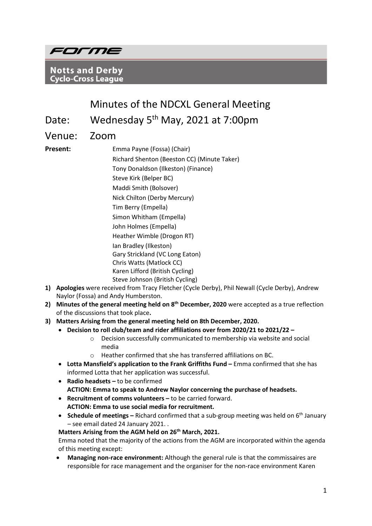

**Notts and Derby Cyclo-Cross League** 

# Minutes of the NDCXL General Meeting

Date: Wednesday 5<sup>th</sup> May, 2021 at 7:00pm

Venue: Zoom

**Present: Emma Payne (Fossa) (Chair)** Richard Shenton (Beeston CC) (Minute Taker) Tony Donaldson (Ilkeston) (Finance) Steve Kirk (Belper BC) Maddi Smith (Bolsover) Nick Chilton (Derby Mercury) Tim Berry (Empella) Simon Whitham (Empella) John Holmes (Empella) Heather Wimble (Drogon RT) Ian Bradley (Ilkeston) Gary Strickland (VC Long Eaton) Chris Watts (Matlock CC) Karen Lifford (British Cycling) Steve Johnson (British Cycling)

- **1) Apologies** were received from Tracy Fletcher (Cycle Derby), Phil Newall (Cycle Derby), Andrew Naylor (Fossa) and Andy Humberston.
- **2) Minutes of the general meeting held on 8th December, 2020** were accepted as a true reflection of the discussions that took place**.**
- **3) Matters Arising from the general meeting held on 8th December, 2020.**
	- **Decision to roll club/team and rider affiliations over from 2020/21 to 2021/22 –**
		- o Decision successfully communicated to membership via website and social media
		- o Heather confirmed that she has transferred affiliations on BC.
	- **Lotta Mansfield's application to the Frank Griffiths Fund –** Emma confirmed that she has informed Lotta that her application was successful.
	- **Radio headsets –** to be confirmed **ACTION: Emma to speak to Andrew Naylor concerning the purchase of headsets.**
	- **Recruitment of comms volunteers –** to be carried forward. **ACTION: Emma to use social media for recruitment.**
	- **Schedule of meetings** Richard confirmed that a sub-group meeting was held on 6<sup>th</sup> January – see email dated 24 January 2021. .

**Matters Arising from the AGM held on 26th March, 2021.**

Emma noted that the majority of the actions from the AGM are incorporated within the agenda of this meeting except:

• **Managing non-race environment:** Although the general rule is that the commissaires are responsible for race management and the organiser for the non-race environment Karen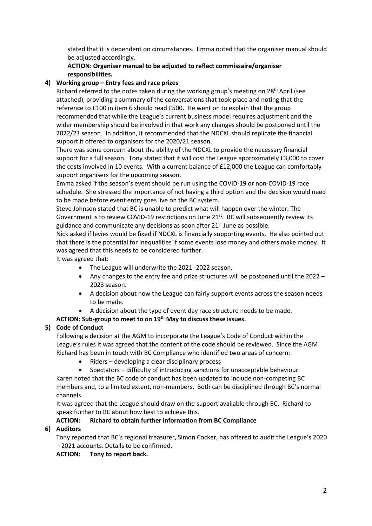stated that it is dependent on circumstances. Emma noted that the organiser manual should be adjusted accordingly.

### **ACTION: Organiser manual to be adjusted to reflect commissaire/organiser responsibilities.**

### **4) Working group – Entry fees and race prizes**

Richard referred to the notes taken during the working group's meeting on 28<sup>th</sup> April (see attached), providing a summary of the conversations that took place and noting that the reference to £100 in item 6 should read £500. He went on to explain that the group recommended that while the League's current business model requires adjustment and the wider membership should be involved in that work any changes should be postponed until the 2022/23 season. In addition, it recommended that the NDCXL should replicate the financial support it offered to organisers for the 2020/21 season.

There was some concern about the ability of the NDCXL to provide the necessary financial support for a full season. Tony stated that it will cost the League approximately £3,000 to cover the costs involved in 10 events. With a current balance of £12,000 the League can comfortably support organisers for the upcoming season.

Emma asked if the season's event should be run using the COVID-19 or non-COVID-19 race schedule. She stressed the importance of not having a third option and the decision would need to be made before event entry goes live on the BC system.

Steve Johnson stated that BC is unable to predict what will happen over the winter. The Government is to review COVID-19 restrictions on June 21 $st$ . BC will subsequently review its guidance and communicate any decisions as soon after 21<sup>st</sup> June as possible.

Nick asked if levies would be fixed if NDCXL is financially supporting events. He also pointed out that there is the potential for inequalities if some events lose money and others make money. It was agreed that this needs to be considered further.

It was agreed that:

- The League will underwrite the 2021 -2022 season.
- Any changes to the entry fee and prize structures will be postponed until the 2022 2023 season.
- A decision about how the League can fairly support events across the season needs to be made.
- A decision about the type of event day race structure needs to be made.

## **ACTION: Sub-group to meet to on 19th May to discuss these issues.**

## **5) Code of Conduct**

Following a decision at the AGM to incorporate the League's Code of Conduct within the League's rules it was agreed that the content of the code should be reviewed. Since the AGM Richard has been in touch with BC Compliance who identified two areas of concern:

- Riders developing a clear disciplinary process
- Spectators difficulty of introducing sanctions for unacceptable behaviour

Karen noted that the BC code of conduct has been updated to include non-competing BC members and, to a limited extent, non-members. Both can be disciplined through BC's normal channels.

It was agreed that the League should draw on the support available through BC. Richard to speak further to BC about how best to achieve this.

## **ACTION: Richard to obtain further information from BC Compliance**

## **6) Auditors**

Tony reported that BC's regional treasurer, Simon Cocker, has offered to audit the League's 2020 – 2021 accounts. Details to be confirmed.

**ACTION: Tony to report back.**